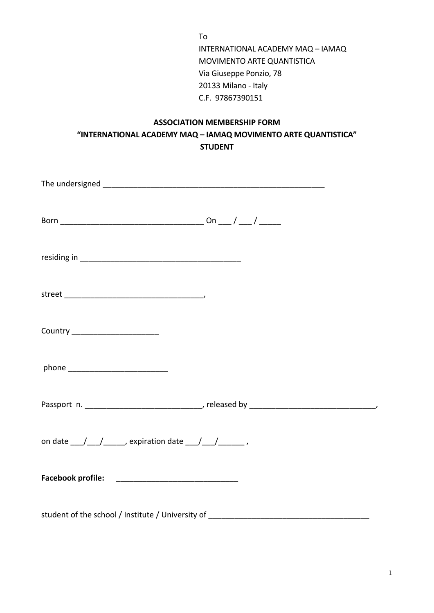To INTERNATIONAL ACADEMY MAQ – IAMAQ MOVIMENTO ARTE QUANTISTICA Via Giuseppe Ponzio, 78 20133 Milano - Italy C.F. 97867390151

## **ASSOCIATION MEMBERSHIP FORM "INTERNATIONAL ACADEMY MAQ – IAMAQ MOVIMENTO ARTE QUANTISTICA" STUDENT**

| Country ________________________                                                            |  |  |
|---------------------------------------------------------------------------------------------|--|--|
|                                                                                             |  |  |
|                                                                                             |  |  |
| on date $\frac{1}{\sqrt{1-\frac{1}{2}}}\$ expiration date $\frac{1}{\sqrt{1-\frac{1}{2}}}\$ |  |  |
|                                                                                             |  |  |
| student of the school / Institute / University of                                           |  |  |